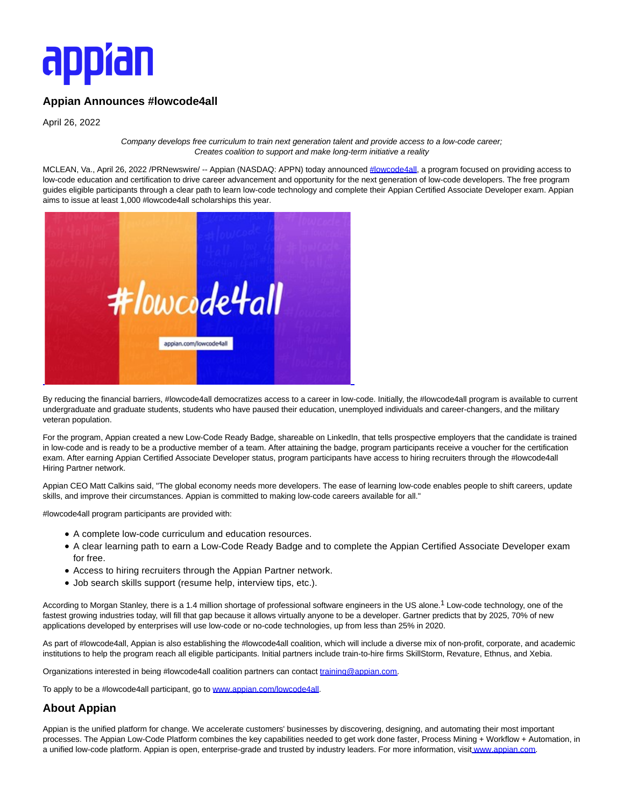## appran

## **Appian Announces #lowcode4all**

April 26, 2022

Company develops free curriculum to train next generation talent and provide access to a low-code career; Creates coalition to support and make long-term initiative a reality

MCLEAN, Va., April 26, 2022 /PRNewswire/ -- Appian (NASDAQ: APPN) today announced [#lowcode4all,](https://c212.net/c/link/?t=0&l=en&o=3514011-1&h=2947864391&u=https%3A%2F%2Fappian.com%2Flowcode4all%2F%3Futm_source%3Dreferral%26utm_medium%3Dpress-release%26utm_campaign%3Dplatform%26utm_content%3Dlc4a&a=%23lowcode4all) a program focused on providing access to low-code education and certification to drive career advancement and opportunity for the next generation of low-code developers. The free program guides eligible participants through a clear path to learn low-code technology and complete their Appian Certified Associate Developer exam. Appian aims to issue at least 1,000 #lowcode4all scholarships this year.



By reducing the financial barriers, #lowcode4all democratizes access to a career in low-code. Initially, the #lowcode4all program is available to current undergraduate and graduate students, students who have paused their education, unemployed individuals and career-changers, and the military veteran population.

For the program, Appian created a new Low-Code Ready Badge, shareable on LinkedIn, that tells prospective employers that the candidate is trained in low-code and is ready to be a productive member of a team. After attaining the badge, program participants receive a voucher for the certification exam. After earning Appian Certified Associate Developer status, program participants have access to hiring recruiters through the #lowcode4all Hiring Partner network.

Appian CEO Matt Calkins said, "The global economy needs more developers. The ease of learning low-code enables people to shift careers, update skills, and improve their circumstances. Appian is committed to making low-code careers available for all."

#lowcode4all program participants are provided with:

- A complete low-code curriculum and education resources.
- A clear learning path to earn a Low-Code Ready Badge and to complete the Appian Certified Associate Developer exam for free.
- Access to hiring recruiters through the Appian Partner network.
- Job search skills support (resume help, interview tips, etc.).

According to Morgan Stanley, there is a 1.4 million shortage of professional software engineers in the US alone.<sup>1</sup> Low-code technology, one of the fastest growing industries today, will fill that gap because it allows virtually anyone to be a developer. Gartner predicts that by 2025, 70% of new applications developed by enterprises will use low-code or no-code technologies, up from less than 25% in 2020.

As part of #lowcode4all, Appian is also establishing the #lowcode4all coalition, which will include a diverse mix of non-profit, corporate, and academic institutions to help the program reach all eligible participants. Initial partners include train-to-hire firms SkillStorm, Revature, Ethnus, and Xebia.

Organizations interested in being #lowcode4all coalition partners can contact [training@appian.com.](mailto:training@appian.com)

To apply to be a #lowcode4all participant, go to [www.appian.com/lowcode4all.](https://c212.net/c/link/?t=0&l=en&o=3514011-1&h=750941570&u=https%3A%2F%2Fappian.com%2Flowcode4all%2F%3Futm_source%3Dreferral%26utm_medium%3Dpress-release%26utm_campaign%3Dplatform%26utm_content%3Dlc4a&a=www.appian.com%2Flowcode4all)

## **About Appian**

Appian is the unified platform for change. We accelerate customers' businesses by discovering, designing, and automating their most important processes. The Appian Low-Code Platform combines the key capabilities needed to get work done faster, Process Mining + Workflow + Automation, in a unified low-code platform. Appian is open, enterprise-grade and trusted by industry leaders. For more information, visit [www.appian.com.](https://c212.net/c/link/?t=0&l=en&o=3514011-1&h=3642604933&u=https%3A%2F%2Fwww.appian.com%2F%3Futm_source%3Dreferral%26utm_medium%3Dpress-release%26utm_campaign%3Dplatform%26utm_content%3Dlc4a&a=www.appian.com)